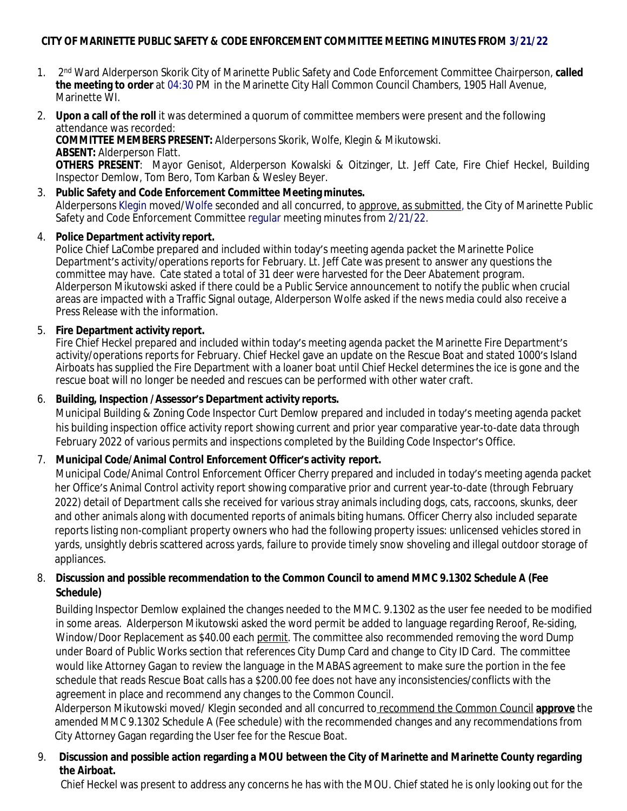# **CITY OF MARINETTE PUBLIC SAFETY & CODE ENFORCEMENT COMMITTEE MEETING MINUTES FROM 3/21/22**

- $1<sub>1</sub>$ 2<sup>nd</sup> Ward Alderperson Skorik City of Marinette Public Safety and Code Enforcement Committee Chairperson, called **the meeting to order** at 04:30 PM in the Marinette City Hall Common Council Chambers, 1905 Hall Avenue, Marinette WI.
- 2. **Upon a call of the roll** it was determined a quorum of committee members were present and the following attendance was recorded:

**COMMITTEE MEMBERS PRESENT:** Alderpersons Skorik, Wolfe, Klegin & Mikutowski. **ABSENT:** Alderperson Flatt.

**OTHERS PRESENT**: Mayor Genisot, Alderperson Kowalski & Oitzinger, Lt. Jeff Cate, Fire Chief Heckel, Building Inspector Demlow, Tom Bero, Tom Karban & Wesley Beyer.

3. **Public Safety and Code Enforcement Committee Meeting minutes.** Alderpersons Klegin moved/Wolfe seconded and all concurred, to approve, as submitted, the City of Marinette Public Safety and Code Enforcement Committee regular meeting minutes from 2/21/22.

#### 4. **Police Department activity report.**

Police Chief LaCombe prepared and included within today's meeting agenda packet the Marinette Police Department's activity/operations reports for February. Lt. Jeff Cate was present to answer any questions the committee may have. Cate stated a total of 31 deer were harvested for the Deer Abatement program. Alderperson Mikutowski asked if there could be a Public Service announcement to notify the public when crucial areas are impacted with a Traffic Signal outage, Alderperson Wolfe asked if the news media could also receive a Press Release with the information.

#### 5. **Fire Department activity report.**

Fire Chief Heckel prepared and included within today's meeting agenda packet the Marinette Fire Department's activity/operations reports for February. Chief Heckel gave an update on the Rescue Boat and stated 1000's Island Airboats has supplied the Fire Department with a loaner boat until Chief Heckel determines the ice is gone and the rescue boat will no longer be needed and rescues can be performed with other water craft.

### 6. **Building, Inspection /Assessor's Department activity reports.**

Municipal Building & Zoning Code Inspector Curt Demlow prepared and included in today's meeting agenda packet his building inspection office activity report showing current and prior year comparative year-to-date data through February 2022 of various permits and inspections completed by the Building Code Inspector's Office.

## 7. **Municipal Code/Animal Control Enforcement Officer's activity report.**

Municipal Code/Animal Control Enforcement Officer Cherry prepared and included in today's meeting agenda packet her Office's Animal Control activity report showing comparative prior and current year-to-date (through February 2022) detail of Department calls she received for various stray animals including dogs, cats, raccoons, skunks, deer and other animals along with documented reports of animals biting humans. Officer Cherry also included separate reports listing non-compliant property owners who had the following property issues: unlicensed vehicles stored in yards, unsightly debris scattered across yards, failure to provide timely snow shoveling and illegal outdoor storage of appliances.

## 8. **Discussion and possible recommendation to the Common Council to amend MMC 9.1302 Schedule A (Fee Schedule)**

Building Inspector Demlow explained the changes needed to the MMC. 9.1302 as the user fee needed to be modified in some areas. Alderperson Mikutowski asked the word permit be added to language regarding Reroof, Re-siding, Window/Door Replacement as \$40.00 each permit. The committee also recommended removing the word Dump under Board of Public Works section that references City Dump Card and change to City ID Card. The committee would like Attorney Gagan to review the language in the MABAS agreement to make sure the portion in the fee schedule that reads Rescue Boat calls has a \$200.00 fee does not have any inconsistencies/conflicts with the agreement in place and recommend any changes to the Common Council.

 Alderperson Mikutowski moved/ Klegin seconded and all concurred to recommend the Common Council **approve** the amended MMC 9.1302 Schedule A (Fee schedule) with the recommended changes and any recommendations from City Attorney Gagan regarding the User fee for the Rescue Boat.

# 9. **Discussion and possible action regarding a MOU between the City of Marinette and Marinette County regarding the Airboat.**

Chief Heckel was present to address any concerns he has with the MOU. Chief stated he is only looking out for the